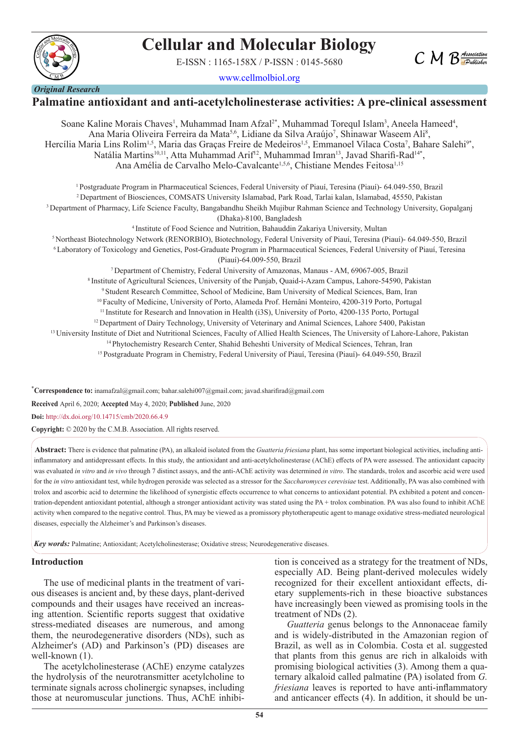# **Cellular and Molecular Biology**

E-ISSN : 1165-158X / P-ISSN : 0145-5680



www.cellmolbiol.org



## **Palmatine antioxidant and anti-acetylcholinesterase activities: A pre-clinical assessment**

Soane Kaline Morais Chaves<sup>1</sup>, Muhammad Inam Afzal<sup>2\*</sup>, Muhammad Torequl Islam<sup>3</sup>, Aneela Hameed<sup>4</sup>, Ana Maria Oliveira Ferreira da Mata<sup>5,6</sup>, Lidiane da Silva Araújo<sup>7</sup>, Shinawar Waseem Ali<sup>8</sup>, Hercília Maria Lins Rolim<sup>1,5</sup>, Maria das Graças Freire de Medeiros<sup>1,5</sup>, Emmanoel Vilaca Costa<sup>7</sup>, Bahare Salehi<sup>9\*</sup>, Natália Martins<sup>10,11</sup>, Atta Muhammad Arif<sup>12</sup>, Muhammad Imran<sup>13</sup>, Javad Sharifi-Rad<sup>14\*</sup>, Ana Amélia de Carvalho Melo-Cavalcante<sup>1,5,6</sup>, Chistiane Mendes Feitosa<sup>1,15</sup>

1 Postgraduate Program in Pharmaceutical Sciences, Federal University of Piauí, Teresina (Piauí)- 64.049-550, Brazil 2 Department of Biosciences, COMSATS University Islamabad, Park Road, Tarlai kalan, Islamabad, 45550, Pakistan 3 Department of Pharmacy, Life Science Faculty, Bangabandhu Sheikh Mujibur Rahman Science and Technology University, Gopalganj (Dhaka)-8100, Bangladesh

4 Institute of Food Science and Nutrition, Bahauddin Zakariya University, Multan 5 Northeast Biotechnology Network (RENORBIO), Biotechnology, Federal University of Piauí, Teresina (Piauí)- 64.049-550, Brazil 6 Laboratory of Toxicology and Genetics, Post-Graduate Program in Pharmaceutical Sciences, Federal University of Piauí, Teresina (Piauí)-64.009-550, Brazil

7 Department of Chemistry, Federal University of Amazonas, Manaus - AM, 69067-005, Brazil

8 Institute of Agricultural Sciences, University of the Punjab, Quaid-i-Azam Campus, Lahore-54590, Pakistan

9 Student Research Committee, School of Medicine, Bam University of Medical Sciences, Bam, Iran

10 Faculty of Medicine, University of Porto, Alameda Prof. Hernâni Monteiro, 4200-319 Porto, Portugal

<sup>11</sup> Institute for Research and Innovation in Health (i3S), University of Porto, 4200-135 Porto, Portugal <sup>12</sup> Department of Dairy Technology, University of Veterinary and Animal Sciences, Lahore 5400, Pakistan

<sup>13</sup> University Institute of Diet and Nutritional Sciences, Faculty of Allied Health Sciences, The University of Lahore-Lahore, Pakistan

14 Phytochemistry Research Center, Shahid Beheshti University of Medical Sciences, Tehran, Iran

15 Postgraduate Program in Chemistry, Federal University of Piauí, Teresina (Piauí)- 64.049-550, Brazil

\* **Correspondence to:** inamafzal@gmail.com; bahar.salehi007@gmail.com; javad.sharifirad@gmail.com

**Received** April 6, 2020; **Accepted** May 4, 2020; **Published** June, 2020

**Doi:** http://dx.doi.org/10.14715/cmb/2020.66.4.9

**Copyright:** © 2020 by the C.M.B. Association. All rights reserved.

**Abstract:** There is evidence that palmatine (PA), an alkaloid isolated from the *Guatteria friesiana* plant, has some important biological activities, including antiinflammatory and antidepressant effects. In this study, the antioxidant and anti-acetylcholinesterase (AChE) effects of PA were assessed. The antioxidant capacity was evaluated *in vitro* and *in vivo* through 7 distinct assays, and the anti-AChE activity was determined *in vitro*. The standards, trolox and ascorbic acid were used for the *in vitro* antioxidant test, while hydrogen peroxide was selected as a stressor for the *Saccharomyces cerevisiae* test. Additionally, PA was also combined with trolox and ascorbic acid to determine the likelihood of synergistic effects occurrence to what concerns to antioxidant potential. PA exhibited a potent and concentration-dependent antioxidant potential, although a stronger antioxidant activity was stated using the PA + trolox combination. PA was also found to inhibit AChE activity when compared to the negative control. Thus, PA may be viewed as a promissory phytotherapeutic agent to manage oxidative stress-mediated neurological diseases, especially the Alzheimer's and Parkinson's diseases.

*Key words:* Palmatine; Antioxidant; Acetylcholinesterase; Oxidative stress; Neurodegenerative diseases.

#### **Introduction**

The use of medicinal plants in the treatment of various diseases is ancient and, by these days, plant-derived compounds and their usages have received an increasing attention. Scientific reports suggest that oxidative stress-mediated diseases are numerous, and among them, the neurodegenerative disorders (NDs), such as Alzheimer's (AD) and Parkinson's (PD) diseases are well-known (1).

The acetylcholinesterase (AChE) enzyme catalyzes the hydrolysis of the neurotransmitter acetylcholine to terminate signals across cholinergic synapses, including those at neuromuscular junctions. Thus, AChE inhibition is conceived as a strategy for the treatment of NDs, especially AD. Being plant-derived molecules widely recognized for their excellent antioxidant effects, dietary supplements-rich in these bioactive substances have increasingly been viewed as promising tools in the treatment of NDs (2).

*Guatteria* genus belongs to the Annonaceae family and is widely-distributed in the Amazonian region of Brazil, as well as in Colombia. Costa et al. suggested that plants from this genus are rich in alkaloids with promising biological activities (3). Among them a quaternary alkaloid called palmatine (PA) isolated from *G. friesiana* leaves is reported to have anti-inflammatory and anticancer effects (4). In addition, it should be un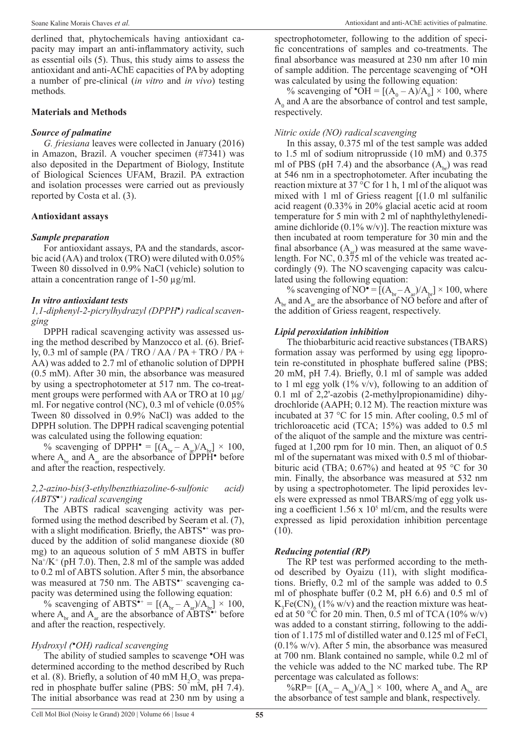derlined that, phytochemicals having antioxidant capacity may impart an anti-inflammatory activity, such as essential oils (5). Thus, this study aims to assess the antioxidant and anti-AChE capacities of PA by adopting a number of pre-clinical (*in vitro* and *in vivo*) testing methods*.*

#### **Materials and Methods**

#### *Source of palmatine*

*G. friesiana* leaves were collected in January (2016) in Amazon, Brazil. A voucher specimen (#7341) was also deposited in the Department of Biology, Institute of Biological Sciences UFAM, Brazil. PA extraction and isolation processes were carried out as previously reported by Costa et al. (3).

### **Antioxidant assays**

### *Sample preparation*

For antioxidant assays, PA and the standards, ascorbic acid (AA) and trolox (TRO) were diluted with 0.05% Tween 80 dissolved in 0.9% NaCl (vehicle) solution to attain a concentration range of  $1-50 \mu g/ml$ .

#### *In vitro antioxidant tests*

#### *1,1-diphenyl-2-picrylhydrazyl (DPPH●) radicalscavenging*

DPPH radical scavenging activity was assessed using the method described by Manzocco et al. (6). Briefly, 0.3 ml of sample (PA / TRO / AA / PA + TRO / PA + AA) was added to 2.7 ml of ethanolic solution of DPPH (0.5 mM). After 30 min, the absorbance was measured by using a spectrophotometer at 517 nm. The co-treatment groups were performed with AA or TRO at 10 µg/ ml. For negative control (NC), 0.3 ml of vehicle (0.05% Tween 80 dissolved in 0.9% NaCl) was added to the DPPH solution. The DPPH radical scavenging potential was calculated using the following equation:

% scavenging of DPPH $\bullet$  =  $[(A_{br} - A_{ar})/A_{br}] \times 100$ , where  $A_{bc}$  and  $A_{ac}$  are the absorbance of DPPH $\bullet$  before and after the reaction, respectively.

#### *2,2-azino-bis(3-ethylbenzthiazoline-6-sulfonic acid) (ABTS●+) radical scavenging*

The ABTS radical scavenging activity was performed using the method described by Seeram et al. (7), with a slight modification. Briefly, the ABTS<sup>\*+</sup> was produced by the addition of solid manganese dioxide (80 mg) to an aqueous solution of 5 mM ABTS in buffer Na<sup>+</sup>/K<sup>+</sup> (pH 7.0). Then, 2.8 ml of the sample was added to 0.2 ml of ABTS solution. After 5 min, the absorbance was measured at 750 nm. The ABTS<sup>\*+</sup> scavenging capacity was determined using the following equation:

% scavenging of ABTS<sup>\*+</sup> =  $[(A_{br} - A_{ar})/A_{br}] \times 100$ , where  $A_{b_r}$  and  $A_{a_r}$  are the absorbance of  $\angle$ ABTS<sup>\*+</sup> before and after the reaction, respectively.

### *Hydroxyl (●OH) radical scavenging*

The ability of studied samples to scavenge  $\bullet$ OH was determined according to the method described by Ruch et al. (8). Briefly, a solution of 40 mM  $H_2O_2$  was prepared in phosphate buffer saline (PBS:  $50 \text{ mM}$ , pH 7.4). The initial absorbance was read at 230 nm by using a

spectrophotometer, following to the addition of specific concentrations of samples and co-treatments. The final absorbance was measured at 230 nm after 10 min of sample addition. The percentage scavenging of ●OH was calculated by using the following equation:

% scavenging of  $\text{OH} = \left[ (A_0 - A)/A_0 \right] \times 100$ , where  $A_0$  and A are the absorbance of control and test sample, respectively.

#### *Nitric oxide (NO) radicalscavenging*

In this assay, 0.375 ml of the test sample was added to 1.5 ml of sodium nitroprusside (10 mM) and 0.375 ml of PBS (pH 7.4) and the absorbance  $(A_{b})$  was read at 546 nm in a spectrophotometer. After incubating the reaction mixture at 37 °C for 1 h, 1 ml of the aliquot was mixed with 1 ml of Griess reagent [(1.0 ml sulfanilic acid reagent (0.33% in 20% glacial acetic acid at room temperature for 5 min with 2 ml of naphthylethylenediamine dichloride  $(0.1\%$  w/v)]. The reaction mixture was then incubated at room temperature for 30 min and the final absorbance  $(A<sub>a</sub>)$  was measured at the same wavelength. For NC, 0.375 ml of the vehicle was treated accordingly (9). The NO scavenging capacity was calculated using the following equation:

% scavenging of NO $\bullet = [(A_{br} - A_{ar})/A_{br}] \times 100$ , where  $A_{\text{br}}$  and  $A_{\text{ar}}$  are the absorbance of NO before and after of the addition of Griess reagent, respectively.

#### *Lipid peroxidation inhibition*

The thiobarbituric acid reactive substances (TBARS) formation assay was performed by using egg lipoprotein re-constituted in phosphate buffered saline (PBS; 20 mM, pH 7.4). Briefly, 0.1 ml of sample was added to 1 ml egg yolk  $(1\% \text{ v/v})$ , following to an addition of 0.1 ml of 2,2'-azobis (2-methylpropionamidine) dihydrochloride (AAPH; 0.12 M). The reaction mixture was incubated at 37 °C for 15 min. After cooling, 0.5 ml of trichloroacetic acid (TCA; 15%) was added to 0.5 ml of the aliquot of the sample and the mixture was centrifuged at 1,200 rpm for 10 min. Then, an aliquot of 0.5 ml of the supernatant was mixed with 0.5 ml of thiobarbituric acid (TBA; 0.67%) and heated at 95 °C for 30 min. Finally, the absorbance was measured at 532 nm by using a spectrophotometer. The lipid peroxides levels were expressed as nmol TBARS/mg of egg yolk using a coefficient  $1.56 \times 10^5$  ml/cm, and the results were expressed as lipid peroxidation inhibition percentage (10).

### *Reducing potential (RP)*

The RP test was performed according to the method described by Oyaizu (11), with slight modifications. Briefly, 0.2 ml of the sample was added to 0.5 ml of phosphate buffer (0.2 M, pH 6.6) and 0.5 ml of  $K_3Fe(CN)_{6}$  (1% w/v) and the reaction mixture was heated at 50 °C for 20 min. Then, 0.5 ml of TCA (10% w/v) was added to a constant stirring, following to the addition of 1.175 ml of distilled water and 0.125 ml of FeCl.  $(0.1\% \text{ w/v})$ . After 5 min, the absorbance was measured at 700 nm. Blank contained no sample, while 0.2 ml of the vehicle was added to the NC marked tube. The RP percentage was calculated as follows:

%RP=  $[(A<sub>ts</sub> - A<sub>bs</sub>)/A<sub>ts</sub>] \times 100$ , where  $A<sub>ts</sub>$  and  $A<sub>bs</sub>$  are the absorbance of test sample and blank, respectively.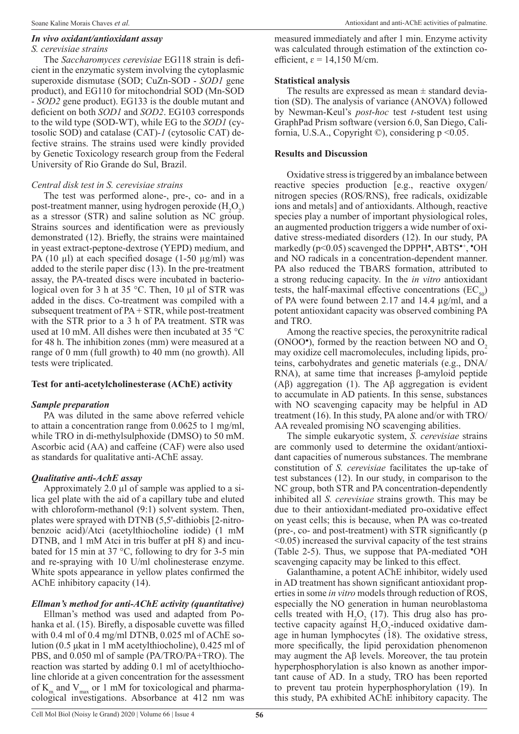#### *In vivo oxidant/antioxidant assay*

## *S. cerevisiae strains*

The *Saccharomyces cerevisiae* EG118 strain is deficient in the enzymatic system involving the cytoplasmic superoxide dismutase (SOD; CuZn-SOD - *SOD1* gene product), and EG110 for mitochondrial SOD (Mn-SOD - *SOD2* gene product). EG133 is the double mutant and deficient on both *SOD1* and *SOD2*. EG103 corresponds to the wild type (SOD-WT), while EG to the *SOD1* (cytosolic SOD) and catalase (CAT)*-1* (cytosolic CAT) defective strains. The strains used were kindly provided by Genetic Toxicology research group from the Federal University of Rio Grande do Sul, Brazil.

## *Central disk test in S. cerevisiae strains*

The test was performed alone-, pre-, co- and in a post-treatment manner, using hydrogen peroxide  $(H_2O_2)$ as a stressor (STR) and saline solution as NC group. Strains sources and identification were as previously demonstrated (12). Briefly, the strains were maintained in yeast extract-peptone-dextrose (YEPD) medium, and PA (10  $\mu$ l) at each specified dosage (1-50  $\mu$ g/ml) was added to the sterile paper disc (13). In the pre-treatment assay, the PA-treated discs were incubated in bacteriological oven for 3 h at 35 °C. Then, 10 µl of STR was added in the discs. Co-treatment was compiled with a subsequent treatment of PA + STR, while post-treatment with the STR prior to a 3 h of PA treatment. STR was used at 10 mM. All dishes were then incubated at 35 °C for 48 h. The inhibition zones (mm) were measured at a range of 0 mm (full growth) to 40 mm (no growth). All tests were triplicated.

## **Test for anti-acetylcholinesterase (AChE) activity**

## *Sample preparation*

PA was diluted in the same above referred vehicle to attain a concentration range from 0.0625 to 1 mg/ml, while TRO in di-methylsulphoxide (DMSO) to 50 mM. Ascorbic acid (AA) and caffeine (CAF) were also used as standards for qualitative anti-AChE assay.

## *Qualitative anti-AchE assay*

Approximately 2.0 µl of sample was applied to a silica gel plate with the aid of a capillary tube and eluted with chloroform-methanol (9:1) solvent system. Then, plates were sprayed with DTNB (5,5'-dithiobis [2-nitrobenzoic acid)/Atci (acetylthiocholine iodide) (1 mM DTNB, and 1 mM Atci in tris buffer at pH 8) and incubated for 15 min at 37 °C, following to dry for 3-5 min and re-spraying with 10 U/ml cholinesterase enzyme. White spots appearance in yellow plates confirmed the AChE inhibitory capacity (14).

# *Ellman's method for anti-AChE activity (quantitative)*

Ellman's method was used and adapted from Pohanka et al. (15). Birefly, a disposable cuvette was filled with 0.4 ml of 0.4 mg/ml DTNB, 0.025 ml of AChE solution (0.5 μkat in 1 mM acetylthiocholine), 0.425 ml of PBS, and 0.050 ml of sample (PA/TRO/PA+TRO). The reaction was started by adding 0.1 ml of acetylthiocholine chloride at a given concentration for the assessment of  $K_{m}$  and  $V_{max}$  or 1 mM for toxicological and pharmacological investigations. Absorbance at 412 nm was

measured immediately and after 1 min. Enzyme activity was calculated through estimation of the extinction coefficient,  $\varepsilon = 14,150$  M/cm.

## **Statistical analysis**

The results are expressed as mean  $\pm$  standard deviation (SD). The analysis of variance (ANOVA) followed by Newman-Keul's *post*-*hoc* test *t*-student test using GraphPad Prism software (version 6.0, San Diego, California, U.S.A., Copyright  $\circledcirc$ ), considering p <0.05.

## **Results and Discussion**

Oxidative stress is triggered by an imbalance between reactive species production [e.g., reactive oxygen/ nitrogen species (ROS/RNS), free radicals, oxidizable ions and metals] and of antioxidants. Although, reactive species play a number of important physiological roles, an augmented production triggers a wide number of oxidative stress-mediated disorders (12). In our study, PA markedly (p<0.05) scavenged the DPPH<sup>•</sup>, ABTS<sup>•+</sup>, <sup>•</sup>OH and NO radicals in a concentration-dependent manner. PA also reduced the TBARS formation, attributed to a strong reducing capacity. In the *in vitro* antioxidant tests, the half-maximal effective concentrations  $(EC_{50})$ of PA were found between 2.17 and 14.4 µg/ml, and a potent antioxidant capacity was observed combining PA and TRO.

Among the reactive species, the peroxynitrite radical  $(ONOO<sup>•</sup>)$ , formed by the reaction between NO and  $O<sub>2</sub>$ may oxidize cell macromolecules, including lipids, proteins, carbohydrates and genetic materials (e.g., DNA/ RNA), at same time that increases β-amyloid peptide (Aβ) aggregation (1). The Aβ aggregation is evident to accumulate in AD patients. In this sense, substances with NO scavenging capacity may be helpful in AD treatment (16). In this study, PA alone and/or with TRO/ AA revealed promising NO scavenging abilities.

The simple eukaryotic system, *S. cerevisiae* strains are commonly used to determine the oxidant/antioxidant capacities of numerous substances. The membrane constitution of *S. cerevisiae* facilitates the up-take of test substances (12). In our study, in comparison to the NC group, both STR and PA concentration-dependently inhibited all *S. cerevisiae* strains growth. This may be due to their antioxidant-mediated pro-oxidative effect on yeast cells; this is because, when PA was co-treated (pre-, co- and post-treatment) with STR significantly (p  $\leq$ 0.05) increased the survival capacity of the test strains (Table 2-5). Thus, we suppose that PA-mediated  $\bullet$ OH scavenging capacity may be linked to this effect.

Galanthamine, a potent AChE inhibitor, widely used in AD treatment has shown significant antioxidant properties in some *in vitro* models through reduction of ROS, especially the NO generation in human neuroblastoma cells treated with  $H_2O_2$  (17). This drug also has protective capacity against  $H_2O_2$ -induced oxidative damage in human lymphocytes  $(18)$ . The oxidative stress, more specifically, the lipid peroxidation phenomenon may augment the Aβ levels. Moreover, the tau protein hyperphosphorylation is also known as another important cause of AD. In a study, TRO has been reported to prevent tau protein hyperphosphorylation (19). In this study, PA exhibited AChE inhibitory capacity. The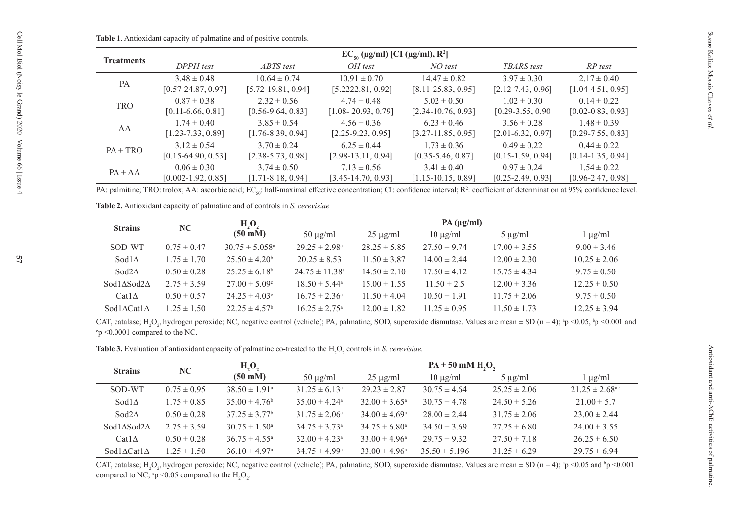#### **Table 1**. Antioxidant capacity of palmatine and of positive controls.

| <b>Treatments</b> | $EC_{50} (\mu g/ml) [CI (\mu g/ml), R^2]$ |                       |                        |                        |                       |                       |  |  |  |  |
|-------------------|-------------------------------------------|-----------------------|------------------------|------------------------|-----------------------|-----------------------|--|--|--|--|
|                   | DPPH test                                 | ABTS test             | OH test                | NO test                | <b>TBARS</b> test     | RP test               |  |  |  |  |
|                   | $3.48 \pm 0.48$                           | $10.64 \pm 0.74$      | $10.91 \pm 0.70$       | $14.47 \pm 0.82$       | $3.97 \pm 0.30$       | $2.17 \pm 0.40$       |  |  |  |  |
| PA                | $[0.57 - 24.87, 0.97]$                    | $[5.72-19.81, 0.94]$  | [5.2222.81, 0.92]      | $[8.11 - 25.83, 0.95]$ | $[2.12 - 7.43, 0.96]$ | $[1.04-4.51, 0.95]$   |  |  |  |  |
| <b>TRO</b>        | $0.87 \pm 0.38$                           | $2.32 \pm 0.56$       | $4.74 \pm 0.48$        | $5.02 \pm 0.50$        | $1.02 \pm 0.30$       | $0.14 \pm 0.22$       |  |  |  |  |
|                   | $[0.11 - 6.66, 0.81]$                     | $[0.56-9.64, 0.83]$   | $[1.08 - 20.93, 0.79]$ | $[2.34-10.76, 0.93]$   | $[0.29 - 3.55, 0.90]$ | $[0.02 - 0.83, 0.93]$ |  |  |  |  |
| AA                | $1.74 \pm 0.40$                           | $3.85 \pm 0.54$       | $4.56 \pm 0.36$        | $6.23 \pm 0.46$        | $3.56 \pm 0.28$       | $1.48 \pm 0.39$       |  |  |  |  |
|                   | $[1.23 - 7.33, 0.89]$                     | $[1.76 - 8.39, 0.94]$ | $[2.25-9.23, 0.95]$    | $[3.27 - 11.85, 0.95]$ | $[2.01 - 6.32, 0.97]$ | $[0.29 - 7.55, 0.83]$ |  |  |  |  |
|                   | $3.12 \pm 0.54$                           | $3.70 \pm 0.24$       | $6.25 \pm 0.44$        | $1.73 \pm 0.36$        | $0.49 \pm 0.22$       | $0.44 \pm 0.22$       |  |  |  |  |
| $PA + TRO$        | $[0.15-64.90, 0.53]$                      | $[2.38 - 5.73, 0.98]$ | $[2.98-13.11, 0.94]$   | $[0.35 - 5.46, 0.87]$  | $[0.15-1.59, 0.94]$   | $[0.14 - 1.35, 0.94]$ |  |  |  |  |
| $PA + AA$         | $0.06 \pm 0.30$                           | $3.74 \pm 0.50$       | $7.13 \pm 0.56$        | $3.41 \pm 0.40$        | $0.97 \pm 0.24$       | $1.54 \pm 0.22$       |  |  |  |  |
|                   | $[0.002 - 1.92, 0.85]$                    | $[1.71 - 8.18, 0.94]$ | $[3.45-14.70, 0.93]$   | $[1.15-10.15, 0.89]$   | $[0.25 - 2.49, 0.93]$ | $[0.96 - 2.47, 0.98]$ |  |  |  |  |

PA: palmitine; TRO: trolox; AA: ascorbic acid; EC<sub>50</sub>: half-maximal effective concentration; CI: confidence interval; R<sup>2</sup>: coefficient of determination at 95% confidence level.

**Table 2.** Antioxidant capacity of palmatine and of controls in *S. cerevisiae*

| <b>Strains</b>                    | NC              | H, O,                          | $PA$ ( $\mu$ g/ml)        |                  |                  |                  |                  |  |
|-----------------------------------|-----------------|--------------------------------|---------------------------|------------------|------------------|------------------|------------------|--|
|                                   |                 | $(50 \text{ mM})$              | $50 \mu g/ml$             | $25 \mu g/ml$    | $10 \mu g/ml$    | $5 \mu g/ml$     | $\log\mu$        |  |
| SOD-WT                            | $0.75 \pm 0.47$ | $30.75 \pm 5.058$ <sup>a</sup> | $29.25 \pm 2.98^{\circ}$  | $28.25 \pm 5.85$ | $27.50 \pm 9.74$ | $17.00 \pm 3.55$ | $9.00 \pm 3.46$  |  |
| Sod $1\Delta$                     | $1.75 \pm 1.70$ | $25.50 \pm 4.20^b$             | $20.25 \pm 8.53$          | $11.50 \pm 3.87$ | $14.00 \pm 2.44$ | $12.00 \pm 2.30$ | $10.25 \pm 2.06$ |  |
| $Sod2\Lambda$                     | $0.50 \pm 0.28$ | $25.25 \pm 6.18^b$             | $24.75 \pm 11.38^{\circ}$ | $14.50 \pm 2.10$ | $17.50 \pm 4.12$ | $15.75 \pm 4.34$ | $9.75 \pm 0.50$  |  |
| $Sod1ASod2\Delta$                 | $2.75 \pm 3.59$ | $27.00 \pm 5.09$ °             | $18.50 \pm 5.44^{\circ}$  | $15.00 \pm 1.55$ | $11.50 \pm 2.5$  | $12.00 \pm 3.36$ | $12.25 \pm 0.50$ |  |
| $Cat1\triangle$                   | $0.50 \pm 0.57$ | $24.25 \pm 4.03^{\circ}$       | $16.75 \pm 2.36^{\circ}$  | $11.50 \pm 4.04$ | $10.50 \pm 1.91$ | $11.75 \pm 2.06$ | $9.75 \pm 0.50$  |  |
| Sod1 $\triangle$ Cat1 $\triangle$ | $1.25 \pm 1.50$ | $22.25 \pm 4.57^{\rm b}$       | $16.25 \pm 2.75^{\circ}$  | $12.00 \pm 1.82$ | $11.25 \pm 0.95$ | $11.50 \pm 1.73$ | $12.25 \pm 3.94$ |  |

CAT, catalase; H<sub>2</sub>O<sub>2</sub>, hydrogen peroxide; NC, negative control (vehicle); PA, palmatine; SOD, superoxide dismutase. Values are mean  $\pm$  SD (n = 4); <sup>a</sup>p <0.05, <sup>b</sup>p <0.001 and  $c_p < 0.0001$  compared to the NC.

Table 3. Evaluation of antioxidant capacity of palmatine co-treated to the H<sub>2</sub>O<sub>2</sub> controls in *S. cerevisiae.* 

| <b>Strains</b>              | NC.             | H, O,<br>$(50 \text{ mM})$    | $PA + 50$ mM $H2O2$           |                          |                   |                  |                                 |  |
|-----------------------------|-----------------|-------------------------------|-------------------------------|--------------------------|-------------------|------------------|---------------------------------|--|
|                             |                 |                               | $50 \mu g/ml$                 | $25 \mu g/ml$            | $10 \mu g/ml$     | $5 \mu g/ml$     | $1 \mu g/ml$                    |  |
| SOD-WT                      | $0.75 \pm 0.95$ | $38.50 \pm 1.91$ <sup>a</sup> | $31.25 \pm 6.13^{\circ}$      | $29.23 \pm 2.87$         | $30.75 \pm 4.64$  | $25.25 \pm 2.06$ | $21.25 \pm 2.68$ <sup>a.c</sup> |  |
| Sod $1\Delta$               | $1.75 \pm 0.85$ | $35.00 \pm 4.76^b$            | $35.00 \pm 4.24$ <sup>a</sup> | $32.00 \pm 3.65^{\circ}$ | $30.75 \pm 4.78$  | $24.50 \pm 5.26$ | $21.00 \pm 5.7$                 |  |
| $Sod2\Delta$                | $0.50 \pm 0.28$ | $37.25 \pm 3.77^{\circ}$      | $31.75 \pm 2.06^{\circ}$      | $34.00 \pm 4.69^{\circ}$ | $28.00 \pm 2.44$  | $31.75 \pm 2.06$ | $23.00 \pm 2.44$                |  |
| Sod1ASod2 <sub>A</sub>      | $2.75 \pm 3.59$ | $30.75 \pm 1.50^{\circ}$      | $34.75 \pm 3.73^{\circ}$      | $34.75 \pm 6.80^{\circ}$ | $34.50 \pm 3.69$  | $27.25 \pm 6.80$ | $24.00 \pm 3.55$                |  |
| $Cat1\Delta$                | $0.50 \pm 0.28$ | $36.75 \pm 4.55^{\circ}$      | $32.00 \pm 4.23^{\circ}$      | $33.00 \pm 4.96^{\circ}$ | $29.75 \pm 9.32$  | $27.50 \pm 7.18$ | $26.25 \pm 6.50$                |  |
| Sod1 $\Delta$ Cat1 $\Delta$ | $1.25 \pm 1.50$ | $36.10 \pm 4.97$ <sup>a</sup> | $34.75 \pm 4.99^{\circ}$      | $33.00 \pm 4.96^{\circ}$ | $35.50 \pm 5.196$ | $31.25 \pm 6.29$ | $29.75 \pm 6.94$                |  |

CAT, catalase; H<sub>2</sub>O<sub>2</sub>, hydrogen peroxide; NC, negative control (vehicle); PA, palmatine; SOD, superoxide dismutase. Values are mean  $\pm$  SD (n = 4); <sup>a</sup>p <0.05 and <sup>b</sup>p <0.001 compared to NC;  $\degree$ p <0.05 compared to the H<sub>2</sub>O<sub>2</sub>.

Cell Mol Biol (Noisy le Grand) 2020 | Volume 66 | Issue 4

Cell Mol Biol (Noisy le Grand) 2020 | Volume 66 | Issue 4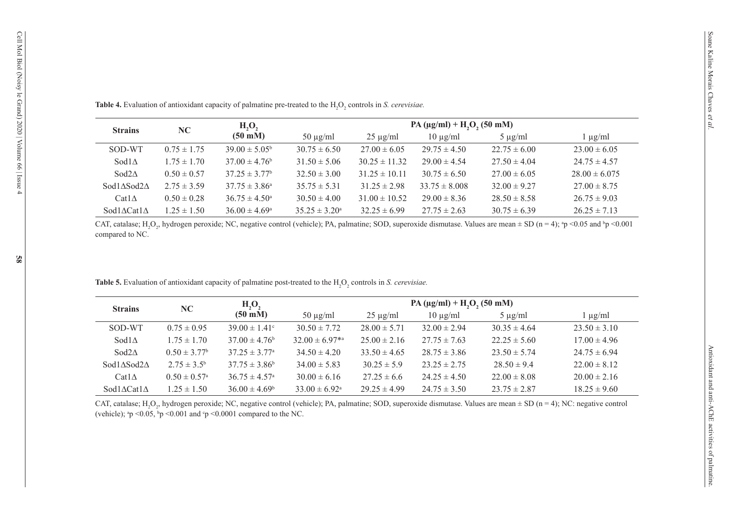| <b>Strains</b>                              | NC              | $H_2O_2$                 | Table 4. Evaluation of antioxidant capacity of palmatine pre-treated to the H <sub>2</sub> O <sub>2</sub> controls in S. cerevisiae.<br>PA ( $\mu$ g/ml) + H <sub>2</sub> O <sub>2</sub> (50 mM) |                   |                   |                  |                   |  |  |
|---------------------------------------------|-----------------|--------------------------|--------------------------------------------------------------------------------------------------------------------------------------------------------------------------------------------------|-------------------|-------------------|------------------|-------------------|--|--|
|                                             |                 | $(50 \text{ mM})$        | $50 \mu g/ml$                                                                                                                                                                                    | $25 \mu g/ml$     | $10 \mu g/ml$     | $5 \mu g/ml$     | $1 \mu g/ml$      |  |  |
| SOD-WT                                      | $0.75 \pm 1.75$ | $39.00 \pm 5.05^{\rm b}$ | $30.75 \pm 6.50$                                                                                                                                                                                 | $27.00 \pm 6.05$  | $29.75 \pm 4.50$  | $22.75 \pm 6.00$ | $23.00 \pm 6.05$  |  |  |
| Sod $1\Delta$                               | $1.75 \pm 1.70$ | $37.00 \pm 4.76^b$       | $31.50 \pm 5.06$                                                                                                                                                                                 | $30.25 \pm 11.32$ | $29.00 \pm 4.54$  | $27.50 \pm 4.04$ | $24.75 \pm 4.57$  |  |  |
| Sod $2\Delta$                               | $0.50 \pm 0.57$ | $37.25 \pm 3.77^{\rm b}$ | $32.50 \pm 3.00$                                                                                                                                                                                 | $31.25 \pm 10.11$ | $30.75 \pm 6.50$  | $27.00 \pm 6.05$ | $28.00 \pm 6.075$ |  |  |
|                                             |                 | $37.75 \pm 3.86^{\circ}$ | $35.75 \pm 5.31$                                                                                                                                                                                 | $31.25 \pm 2.98$  | $33.75 \pm 8.008$ | $32.00 \pm 9.27$ | $27.00 \pm 8.75$  |  |  |
|                                             | $2.75 \pm 3.59$ |                          |                                                                                                                                                                                                  |                   |                   |                  |                   |  |  |
| Sod1 $\Delta$ Sod2 $\Delta$<br>$Cat1\Delta$ | $0.50 \pm 0.28$ | $36.75 \pm 4.50^{\circ}$ | $30.50 \pm 4.00$                                                                                                                                                                                 | $31.00 \pm 10.52$ | $29.00 \pm 8.36$  | $28.50 \pm 8.58$ | $26.75 \pm 9.03$  |  |  |

CAT, catalase; H<sub>2</sub>O<sub>2</sub>, hydrogen peroxide; NC, negative control (vehicle); PA, palmatine; SOD, superoxide dismutase. Values are mean  $\pm$  SD (n = 4);  ${}^{\circ}p$  <0.05 and  ${}^{\circ}p$  <0.001 compared to NC.

| <b>Strains</b>                    | NC                           | H, O,<br>$(50 \text{ mM})$    | $PA (\mu g/ml) + H2O2 (50 mM)$ |                  |                  |                  |                  |  |
|-----------------------------------|------------------------------|-------------------------------|--------------------------------|------------------|------------------|------------------|------------------|--|
|                                   |                              |                               | $50 \mu g/ml$                  | $25 \mu g/ml$    | $10 \mu$ g/ml    | $5 \mu g/ml$     | $1 \mu g/ml$     |  |
| SOD-WT                            | $0.75 \pm 0.95$              | $39.00 \pm 1.41$ °            | $30.50 \pm 7.72$               | $28.00 \pm 5.71$ | $32.00 \pm 2.94$ | $30.35 \pm 4.64$ | $23.50 \pm 3.10$ |  |
| $Sod1\Lambda$                     | $1.75 \pm 1.70$              | $37.00 \pm 4.76^b$            | $32.00 \pm 6.97^{*a}$          | $25.00 \pm 2.16$ | $27.75 \pm 7.63$ | $22.25 \pm 5.60$ | $17.00 \pm 4.96$ |  |
| Sod $2\Delta$                     | $0.50 \pm 3.77^{\rm b}$      | $37.25 \pm 3.77$ <sup>a</sup> | $34.50 \pm 4.20$               | $33.50 \pm 4.65$ | $28.75 \pm 3.86$ | $23.50 \pm 5.74$ | $24.75 \pm 6.94$ |  |
| $Sod1ASod2\Lambda$                | $2.75 \pm 3.5^{\rm b}$       | $37.75 \pm 3.86^b$            | $34.00 \pm 5.83$               | $30.25 \pm 5.9$  | $23.25 \pm 2.75$ | $28.50 \pm 9.4$  | $22.00 \pm 8.12$ |  |
| Catl $\Delta$                     | $0.50 \pm 0.57$ <sup>a</sup> | $36.75 \pm 4.57$ <sup>a</sup> | $30.00 \pm 6.16$               | $27.25 \pm 6.6$  | $24.25 \pm 4.50$ | $22.00 \pm 8.08$ | $20.00 \pm 2.16$ |  |
| Sod1 $\triangle$ Cat1 $\triangle$ | $1.25 \pm 1.50$              | $36.00 \pm 4.69^{\circ}$      | $33.00 \pm 6.92^{\circ}$       | $29.25 \pm 4.99$ | $24.75 \pm 3.50$ | $23.75 \pm 2.87$ | $18.25 \pm 9.60$ |  |

CAT, catalase; H<sub>2</sub>O<sub>2</sub>, hydrogen peroxide; NC, negative control (vehicle); PA, palmatine; SOD, superoxide dismutase. Values are mean  $\pm$  SD (n = 4); NC: negative control (vehicle);  $^{a}p$  <0.05,  $^{b}p$  <0.001 and  $^{c}p$  <0.0001 compared to the NC.